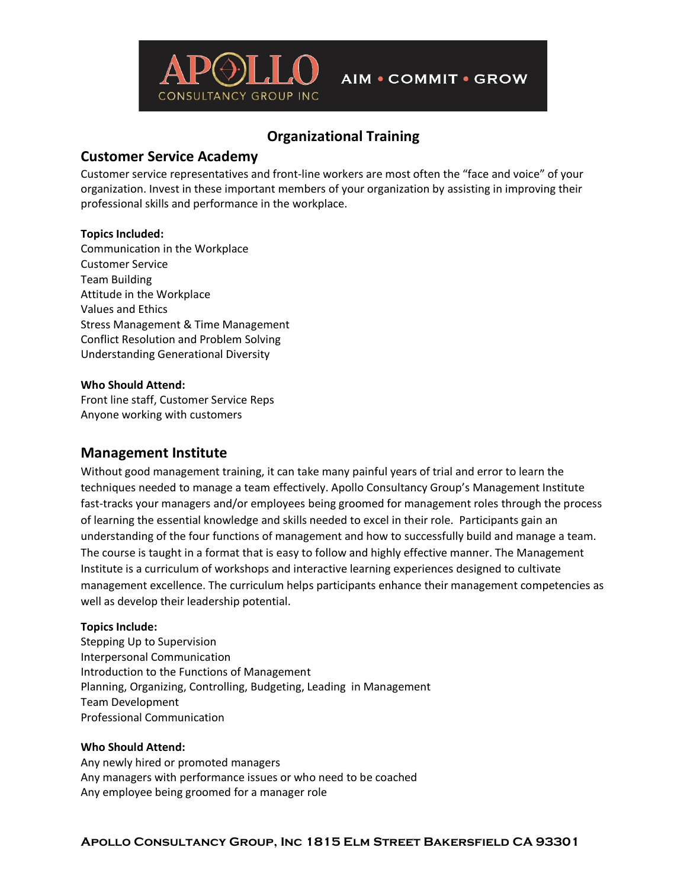

# **Organizational Training**

## **Customer Service Academy**

Customer service representatives and front-line workers are most often the "face and voice" of your organization. Invest in these important members of your organization by assisting in improving their professional skills and performance in the workplace.

## **Topics Included:**

Communication in the Workplace Customer Service Team Building Attitude in the Workplace Values and Ethics Stress Management & Time Management Conflict Resolution and Problem Solving Understanding Generational Diversity

### **Who Should Attend:**

Front line staff, Customer Service Reps Anyone working with customers

## **Management Institute**

Without good management training, it can take many painful years of trial and error to learn the techniques needed to manage a team effectively. Apollo Consultancy Group's Management Institute fast-tracks your managers and/or employees being groomed for management roles through the process of learning the essential knowledge and skills needed to excel in their role. Participants gain an understanding of the four functions of management and how to successfully build and manage a team. The course is taught in a format that is easy to follow and highly effective manner. The Management Institute is a curriculum of workshops and interactive learning experiences designed to cultivate management excellence. The curriculum helps participants enhance their management competencies as well as develop their leadership potential.

### **Topics Include:**

Stepping Up to Supervision Interpersonal Communication Introduction to the Functions of Management Planning, Organizing, Controlling, Budgeting, Leading in Management Team Development Professional Communication

#### **Who Should Attend:**

Any newly hired or promoted managers Any managers with performance issues or who need to be coached Any employee being groomed for a manager role